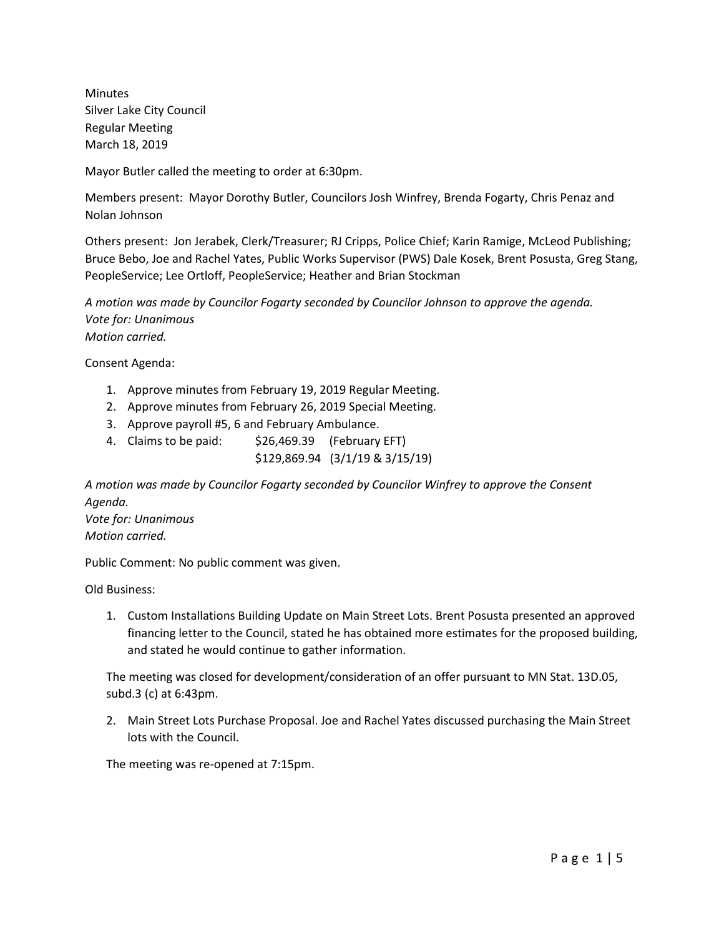Minutes Silver Lake City Council Regular Meeting March 18, 2019

Mayor Butler called the meeting to order at 6:30pm.

Members present: Mayor Dorothy Butler, Councilors Josh Winfrey, Brenda Fogarty, Chris Penaz and Nolan Johnson

Others present: Jon Jerabek, Clerk/Treasurer; RJ Cripps, Police Chief; Karin Ramige, McLeod Publishing; Bruce Bebo, Joe and Rachel Yates, Public Works Supervisor (PWS) Dale Kosek, Brent Posusta, Greg Stang, PeopleService; Lee Ortloff, PeopleService; Heather and Brian Stockman

*A motion was made by Councilor Fogarty seconded by Councilor Johnson to approve the agenda. Vote for: Unanimous Motion carried.*

Consent Agenda:

- 1. Approve minutes from February 19, 2019 Regular Meeting.
- 2. Approve minutes from February 26, 2019 Special Meeting.
- 3. Approve payroll #5, 6 and February Ambulance.
- 4. Claims to be paid:  $$26,469.39$  (February EFT)

\$129,869.94 (3/1/19 & 3/15/19)

*A motion was made by Councilor Fogarty seconded by Councilor Winfrey to approve the Consent Agenda. Vote for: Unanimous*

*Motion carried.*

Public Comment: No public comment was given.

Old Business:

1. Custom Installations Building Update on Main Street Lots. Brent Posusta presented an approved financing letter to the Council, stated he has obtained more estimates for the proposed building, and stated he would continue to gather information.

The meeting was closed for development/consideration of an offer pursuant to MN Stat. 13D.05, subd.3 (c) at 6:43pm.

2. Main Street Lots Purchase Proposal. Joe and Rachel Yates discussed purchasing the Main Street lots with the Council.

The meeting was re-opened at 7:15pm.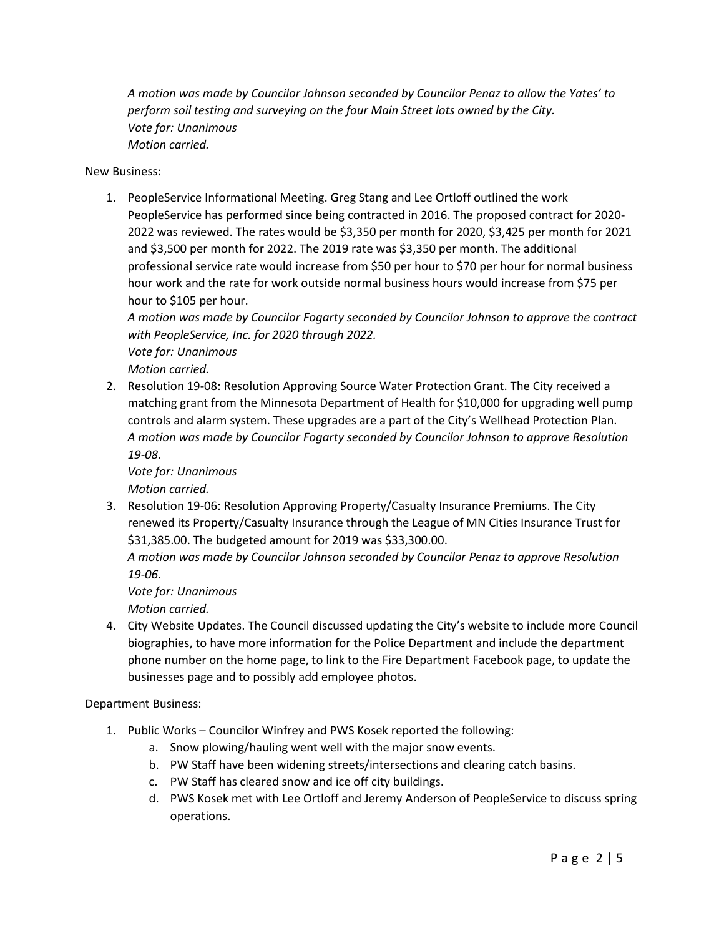*A motion was made by Councilor Johnson seconded by Councilor Penaz to allow the Yates' to perform soil testing and surveying on the four Main Street lots owned by the City. Vote for: Unanimous Motion carried.*

New Business:

1. PeopleService Informational Meeting. Greg Stang and Lee Ortloff outlined the work PeopleService has performed since being contracted in 2016. The proposed contract for 2020- 2022 was reviewed. The rates would be \$3,350 per month for 2020, \$3,425 per month for 2021 and \$3,500 per month for 2022. The 2019 rate was \$3,350 per month. The additional professional service rate would increase from \$50 per hour to \$70 per hour for normal business hour work and the rate for work outside normal business hours would increase from \$75 per hour to \$105 per hour.

*A motion was made by Councilor Fogarty seconded by Councilor Johnson to approve the contract with PeopleService, Inc. for 2020 through 2022. Vote for: Unanimous*

*Motion carried.* 

2. Resolution 19-08: Resolution Approving Source Water Protection Grant. The City received a matching grant from the Minnesota Department of Health for \$10,000 for upgrading well pump controls and alarm system. These upgrades are a part of the City's Wellhead Protection Plan. *A motion was made by Councilor Fogarty seconded by Councilor Johnson to approve Resolution 19-08.*

*Vote for: Unanimous Motion carried.*

3. Resolution 19-06: Resolution Approving Property/Casualty Insurance Premiums. The City renewed its Property/Casualty Insurance through the League of MN Cities Insurance Trust for \$31,385.00. The budgeted amount for 2019 was \$33,300.00.

*A motion was made by Councilor Johnson seconded by Councilor Penaz to approve Resolution 19-06.*

*Vote for: Unanimous Motion carried.*

4. City Website Updates. The Council discussed updating the City's website to include more Council biographies, to have more information for the Police Department and include the department phone number on the home page, to link to the Fire Department Facebook page, to update the businesses page and to possibly add employee photos.

Department Business:

- 1. Public Works Councilor Winfrey and PWS Kosek reported the following:
	- a. Snow plowing/hauling went well with the major snow events.
	- b. PW Staff have been widening streets/intersections and clearing catch basins.
	- c. PW Staff has cleared snow and ice off city buildings.
	- d. PWS Kosek met with Lee Ortloff and Jeremy Anderson of PeopleService to discuss spring operations.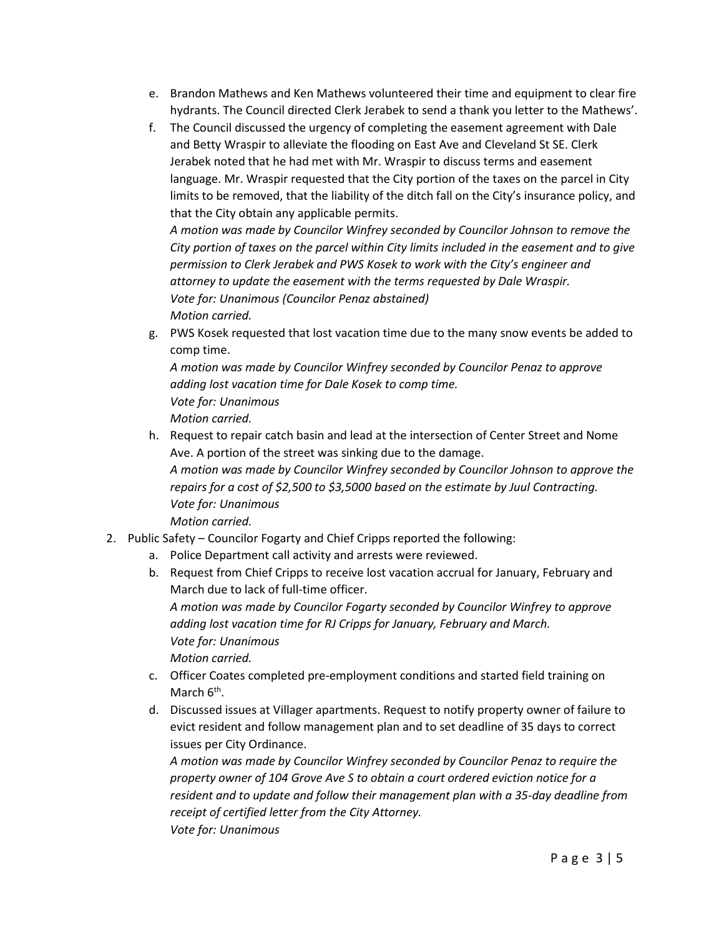- e. Brandon Mathews and Ken Mathews volunteered their time and equipment to clear fire hydrants. The Council directed Clerk Jerabek to send a thank you letter to the Mathews'.
- f. The Council discussed the urgency of completing the easement agreement with Dale and Betty Wraspir to alleviate the flooding on East Ave and Cleveland St SE. Clerk Jerabek noted that he had met with Mr. Wraspir to discuss terms and easement language. Mr. Wraspir requested that the City portion of the taxes on the parcel in City limits to be removed, that the liability of the ditch fall on the City's insurance policy, and that the City obtain any applicable permits.

*A motion was made by Councilor Winfrey seconded by Councilor Johnson to remove the City portion of taxes on the parcel within City limits included in the easement and to give permission to Clerk Jerabek and PWS Kosek to work with the City's engineer and attorney to update the easement with the terms requested by Dale Wraspir. Vote for: Unanimous (Councilor Penaz abstained) Motion carried.*

g. PWS Kosek requested that lost vacation time due to the many snow events be added to comp time.

*A motion was made by Councilor Winfrey seconded by Councilor Penaz to approve adding lost vacation time for Dale Kosek to comp time. Vote for: Unanimous Motion carried.*

- h. Request to repair catch basin and lead at the intersection of Center Street and Nome Ave. A portion of the street was sinking due to the damage. *A motion was made by Councilor Winfrey seconded by Councilor Johnson to approve the repairs for a cost of \$2,500 to \$3,5000 based on the estimate by Juul Contracting. Vote for: Unanimous Motion carried.*
- 2. Public Safety Councilor Fogarty and Chief Cripps reported the following:
	- a. Police Department call activity and arrests were reviewed.
	- b. Request from Chief Cripps to receive lost vacation accrual for January, February and March due to lack of full-time officer. *A motion was made by Councilor Fogarty seconded by Councilor Winfrey to approve adding lost vacation time for RJ Cripps for January, February and March. Vote for: Unanimous Motion carried.*
	- c. Officer Coates completed pre-employment conditions and started field training on March  $6<sup>th</sup>$ .
	- d. Discussed issues at Villager apartments. Request to notify property owner of failure to evict resident and follow management plan and to set deadline of 35 days to correct issues per City Ordinance.

*A motion was made by Councilor Winfrey seconded by Councilor Penaz to require the property owner of 104 Grove Ave S to obtain a court ordered eviction notice for a resident and to update and follow their management plan with a 35-day deadline from receipt of certified letter from the City Attorney. Vote for: Unanimous*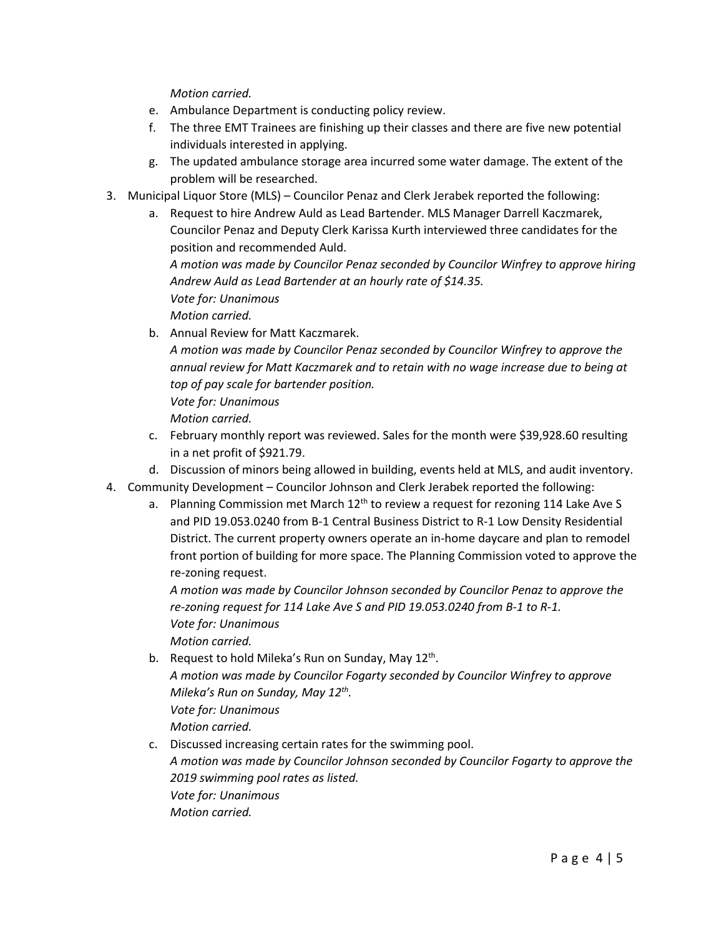*Motion carried.*

- e. Ambulance Department is conducting policy review.
- f. The three EMT Trainees are finishing up their classes and there are five new potential individuals interested in applying.
- g. The updated ambulance storage area incurred some water damage. The extent of the problem will be researched.
- 3. Municipal Liquor Store (MLS) Councilor Penaz and Clerk Jerabek reported the following:
	- a. Request to hire Andrew Auld as Lead Bartender. MLS Manager Darrell Kaczmarek, Councilor Penaz and Deputy Clerk Karissa Kurth interviewed three candidates for the position and recommended Auld. *A motion was made by Councilor Penaz seconded by Councilor Winfrey to approve hiring Andrew Auld as Lead Bartender at an hourly rate of \$14.35. Vote for: Unanimous Motion carried.*
	- b. Annual Review for Matt Kaczmarek.

*A motion was made by Councilor Penaz seconded by Councilor Winfrey to approve the annual review for Matt Kaczmarek and to retain with no wage increase due to being at top of pay scale for bartender position.* 

*Vote for: Unanimous*

*Motion carried.*

- c. February monthly report was reviewed. Sales for the month were \$39,928.60 resulting in a net profit of \$921.79.
- d. Discussion of minors being allowed in building, events held at MLS, and audit inventory.
- 4. Community Development Councilor Johnson and Clerk Jerabek reported the following:
	- a. Planning Commission met March  $12<sup>th</sup>$  to review a request for rezoning 114 Lake Ave S and PID 19.053.0240 from B-1 Central Business District to R-1 Low Density Residential District. The current property owners operate an in-home daycare and plan to remodel front portion of building for more space. The Planning Commission voted to approve the re-zoning request.

*A motion was made by Councilor Johnson seconded by Councilor Penaz to approve the re-zoning request for 114 Lake Ave S and PID 19.053.0240 from B-1 to R-1. Vote for: Unanimous Motion carried.*

- b. Request to hold Mileka's Run on Sunday, May  $12^{th}$ . *A motion was made by Councilor Fogarty seconded by Councilor Winfrey to approve Mileka's Run on Sunday, May 12th. Vote for: Unanimous Motion carried.*
- c. Discussed increasing certain rates for the swimming pool. *A motion was made by Councilor Johnson seconded by Councilor Fogarty to approve the 2019 swimming pool rates as listed. Vote for: Unanimous Motion carried.*